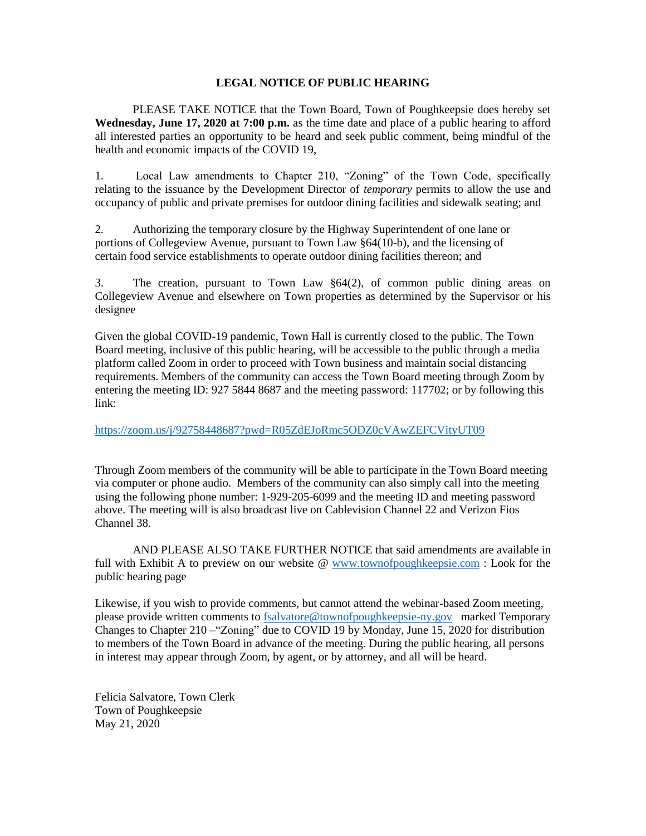## **LEGAL NOTICE OF PUBLIC HEARING**

PLEASE TAKE NOTICE that the Town Board, Town of Poughkeepsie does hereby set **Wednesday, June 17, 2020 at 7:00 p.m.** as the time date and place of a public hearing to afford all interested parties an opportunity to be heard and seek public comment, being mindful of the health and economic impacts of the COVID 19,

1. Local Law amendments to Chapter 210, "Zoning" of the Town Code, specifically relating to the issuance by the Development Director of *temporary* permits to allow the use and occupancy of public and private premises for outdoor dining facilities and sidewalk seating; and

2. Authorizing the temporary closure by the Highway Superintendent of one lane or portions of Collegeview Avenue, pursuant to Town Law §64(10-b), and the licensing of certain food service establishments to operate outdoor dining facilities thereon; and

3. The creation, pursuant to Town Law §64(2), of common public dining areas on Collegeview Avenue and elsewhere on Town properties as determined by the Supervisor or his designee

Given the global COVID-19 pandemic, Town Hall is currently closed to the public. The Town Board meeting, inclusive of this public hearing, will be accessible to the public through a media platform called Zoom in order to proceed with Town business and maintain social distancing requirements. Members of the community can access the Town Board meeting through Zoom by entering the meeting ID: 927 5844 8687 and the meeting password: 117702; or by following this link:

<https://zoom.us/j/92758448687?pwd=R05ZdEJoRmc5ODZ0cVAwZEFCVityUT09>

Through Zoom members of the community will be able to participate in the Town Board meeting via computer or phone audio. Members of the community can also simply call into the meeting using the following phone number: 1-929-205-6099 and the meeting ID and meeting password above. The meeting will is also broadcast live on Cablevision Channel 22 and Verizon Fios Channel 38.

AND PLEASE ALSO TAKE FURTHER NOTICE that said amendments are available in full with Exhibit A to preview on our website @ [www.townofpoughkeepsie.com](http://www.townofpoughkeepsie.com/) : Look for the public hearing page

Likewise, if you wish to provide comments, but cannot attend the webinar-based Zoom meeting, please provide written comments to [fsalvatore@townofpoughkeepsie-ny.gov](mailto:fsalvatore@townofpoughkeepsie-ny.gov) marked Temporary Changes to Chapter 210 –"Zoning" due to COVID 19 by Monday, June 15, 2020 for distribution to members of the Town Board in advance of the meeting. During the public hearing, all persons in interest may appear through Zoom, by agent, or by attorney, and all will be heard.

Felicia Salvatore, Town Clerk Town of Poughkeepsie May 21, 2020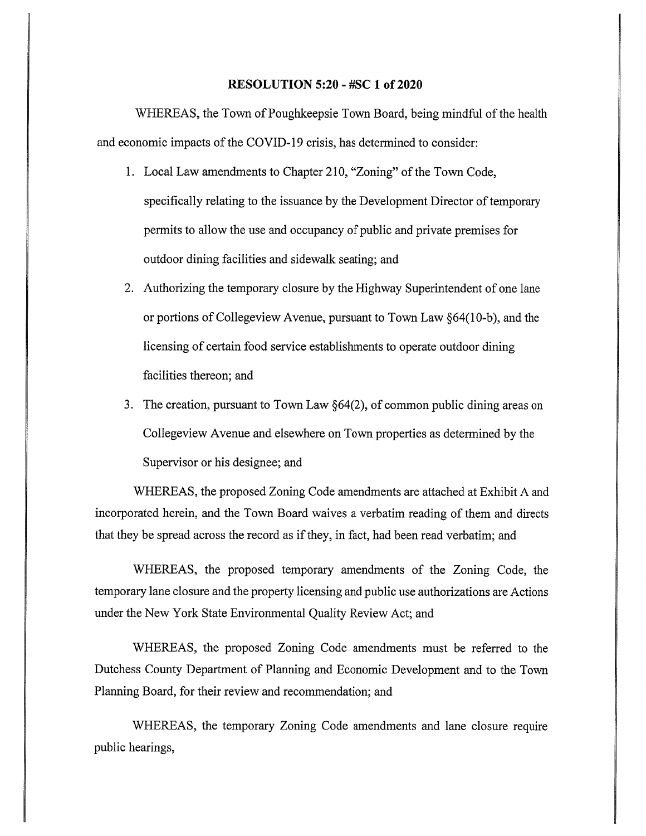## **RESOLUTION 5:20 - #SC 1 of 2020**

WHEREAS, the Town of Poughkeepsie Town Board, being mindful of the health and economic impacts of the COVID-19 crisis, has determined to consider:

- 1. Local Law amendments to Chapter 210, "Zoning" of the Town Code, specifically relating to the issuance by the Development Director of temporary permits to allow the use and occupancy of public and private premises for outdoor dining facilities and sidewalk seating; and
- 2. Authorizing the temporary closure by the Highway Superintendent of one lane or portions of Collegeview Avenue, pursuant to Town Law §64(10-b), and the licensing of certain food service establishments to operate outdoor dining facilities thereon; and
- 3. The creation, pursuant to Town Law  $\S64(2)$ , of common public dining areas on Collegeview Avenue and elsewhere on Town properties as determined by the Supervisor or his designee; and

WHEREAS, the proposed Zoning Code amendments are attached at Exhibit A and incorporated herein, and the Town Board waives a verbatim reading of them and directs that they be spread across the record as if they, in fact, had been read verbatim; and

WHEREAS, the proposed temporary amendments of the Zoning Code, the temporary lane closure and the property licensing and public use authorizations are Actions under the New York State Environmental Quality Review Act; and

WHEREAS, the proposed Zoning Code amendments must be referred to the Dutchess County Department of Planning and Economic Development and to the Town Planning Board, for their review and recommendation; and

WHEREAS, the temporary Zoning Code amendments and lane closure require public hearings,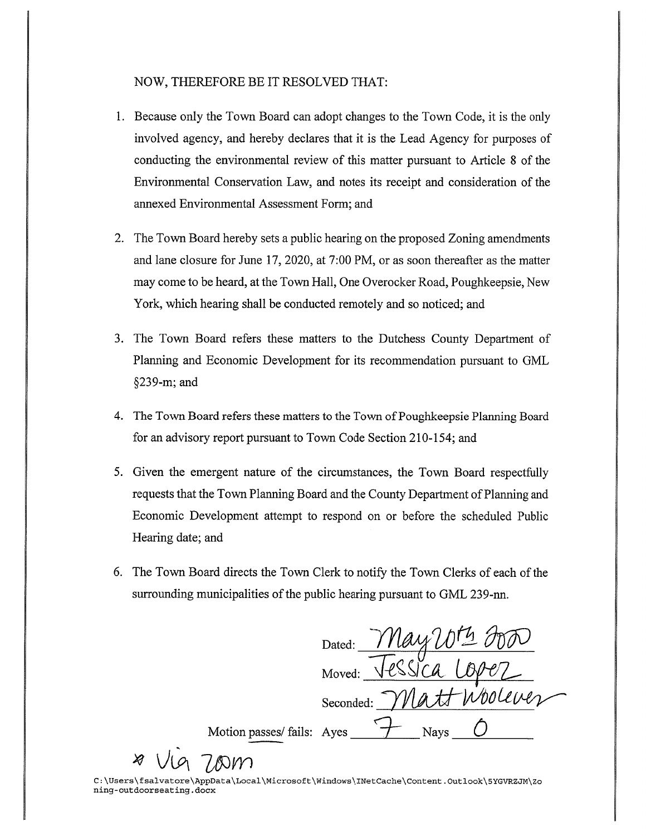## NOW, THEREFORE BE IT RESOLVED THAT:

- 1. Because only the Town Board can adopt changes to the Town Code, it is the only involved agency, and hereby declares that it is the Lead Agency for purposes of conducting the environmental review of this matter pursuant to Article 8 of the Environmental Conservation Law, and notes its receipt and consideration of the annexed Environmental Assessment Form; and
- 2. The Town Board hereby sets a public hearing on the proposed Zoning amendments and lane closure for June 17, 2020, at 7:00 PM, or as soon thereafter as the matter may come to be heard, at the Town Hall, One Overocker Road, Poughkeepsie, New York, which hearing shall be conducted remotely and so noticed; and
- 3. The Town Board refers these matters to the Dutchess County Department of Planning and Economic Development for its recommendation pursuant to GML §239-m; and
- 4. The Town Board refers these matters to the Town of Poughkeepsie Planning Board for an advisory report pursuant to Town Code Section 210-154; and
- 5. Given the emergent nature of the circumstances, the Town Board respectfully requests that the Town Planning Board and the County Department of Planning and Economic Development attempt to respond on or before the scheduled Public Hearing date; and
- 6. The Town Board directs the Town Clerk to notify the Town Clerks of each of the surrounding municipalities of the public hearing pursuant to GML 239-nn.

<u>May 2014</u><br>Tessica Lop Dated: Moved: Seconded: Motion passes/ fails: Ayes **Nays** 

C:\Users\fsalvatore\AppData\Local\Microsoft\Windows\INetCache\Content.Outlook\5YGVRZJM\Zo ning-outdoorseating.docx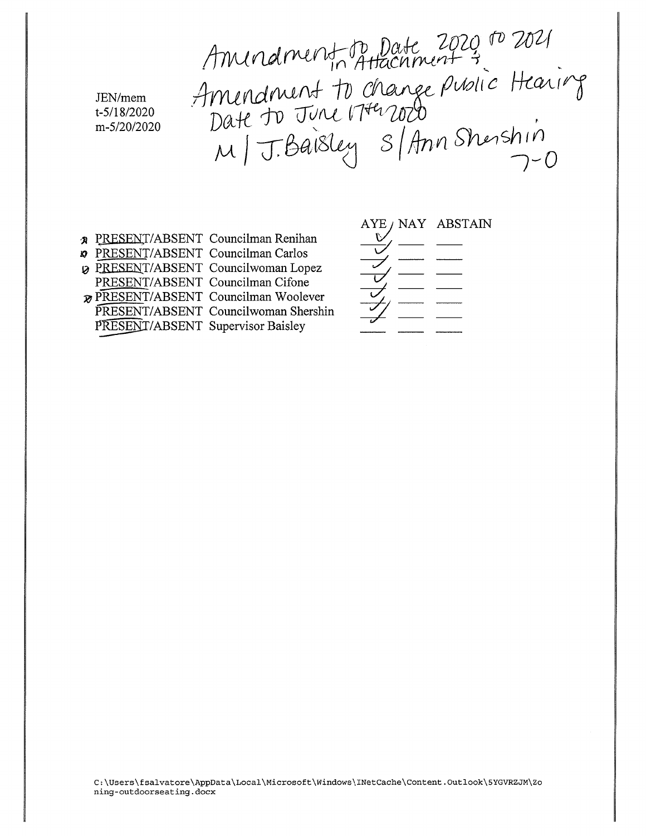Amindment to Date 2020 ro 2021<br>Amindment to change public Hearing<br>Date to June 17th 2020<br>M | J. Baisley S | Ann Shenshin

JEN/mem t-5/18/2020 m-5/20/2020

- **A** PRESENT/ABSENT Councilman Renihan **»** PRESENT/ABSENT Councilman Carlos **2** PRESENT/ABSENT Councilwoman Lopez PRESENT/ABSENT Councilman Cifone
- **PRESENT/ABSENT Councilman Woolever**
- PRESENT/ABSENT Councilwoman Shershin
- 
- PRESENT/ABSENT Supervisor Baisley
- AYE / NAY ABSTAIN
- 
- 
- 
- 
- 
-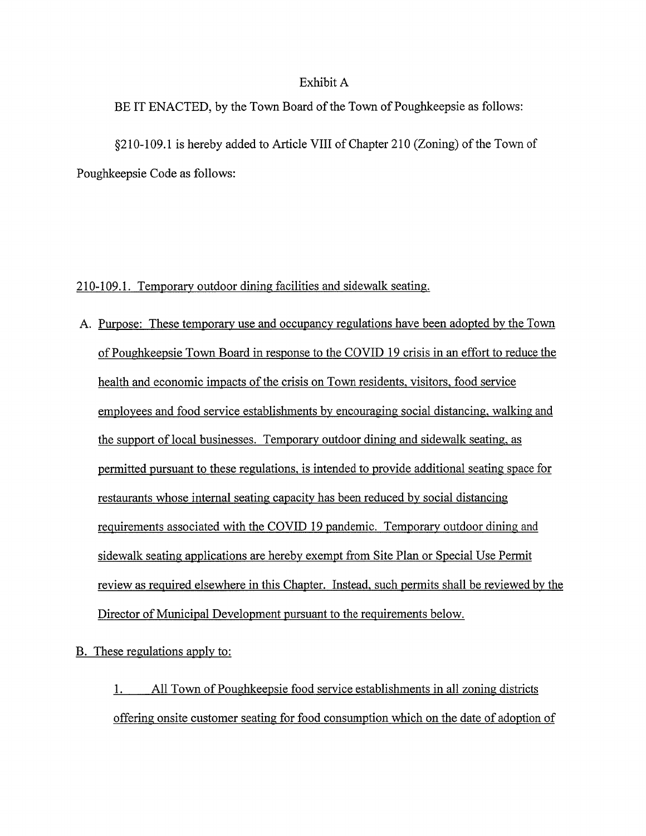## Exhibit A

BE IT ENACTED, by the Town Board of the Town of Poughkeepsie as follows:

§210-109.1 is hereby added to Article VIII of Chapter 210 (Zoning) of the Town of Poughkeepsie Code as follows:

## 210-109.1. Temporary outdoor dining facilities and sidewalk seating.

A. Purpose: These temporary use and occupancy regulations have been adopted by the Town of Poughkeepsie Town Board in response to the COVID 19 crisis in an effort to reduce the health and economic impacts of the crisis on Town residents, visitors, food service employees and food service establishments by encouraging social distancing, walking and the support of local businesses. Temporary outdoor dining and sidewalk seating, as permitted pursuant to these regulations, is intended to provide additional seating space for restaurants whose internal seating capacity has been reduced by social distancing requirements associated with the COVID 19 pandemic. Temporary outdoor dining and sidewalk seating applications are hereby exempt from Site Plan or Special Use Permit review as required elsewhere in this Chapter. Instead, such permits shall be reviewed by the Director of Municipal Development pursuant to the requirements below.

B. These regulations apply to:

All Town of Poughkeepsie food service establishments in all zoning districts 1. offering onsite customer seating for food consumption which on the date of adoption of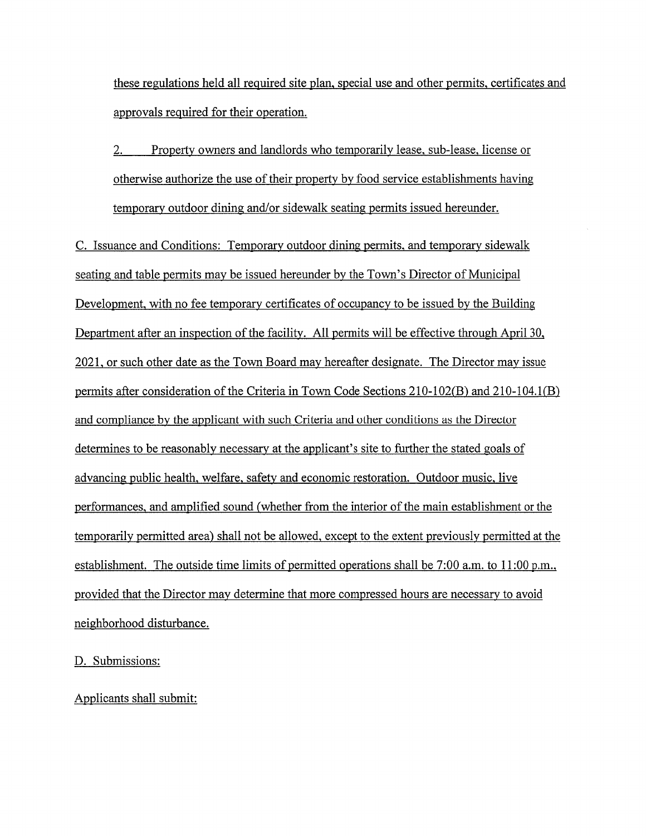these regulations held all required site plan, special use and other permits, certificates and approvals required for their operation.

 $2.$ Property owners and landlords who temporarily lease, sub-lease, license or otherwise authorize the use of their property by food service establishments having temporary outdoor dining and/or sidewalk seating permits issued hereunder.

C. Issuance and Conditions: Temporary outdoor dining permits, and temporary sidewalk seating and table permits may be issued hereunder by the Town's Director of Municipal Development, with no fee temporary certificates of occupancy to be issued by the Building Department after an inspection of the facility. All permits will be effective through April 30, 2021, or such other date as the Town Board may hereafter designate. The Director may issue permits after consideration of the Criteria in Town Code Sections 210-102(B) and 210-104.1(B) and compliance by the applicant with such Criteria and other conditions as the Director determines to be reasonably necessary at the applicant's site to further the stated goals of advancing public health, welfare, safety and economic restoration. Outdoor music, live performances, and amplified sound (whether from the interior of the main establishment or the temporarily permitted area) shall not be allowed, except to the extent previously permitted at the establishment. The outside time limits of permitted operations shall be  $7:00$  a.m. to  $11:00$  p.m., provided that the Director may determine that more compressed hours are necessary to avoid neighborhood disturbance.

D. Submissions:

Applicants shall submit: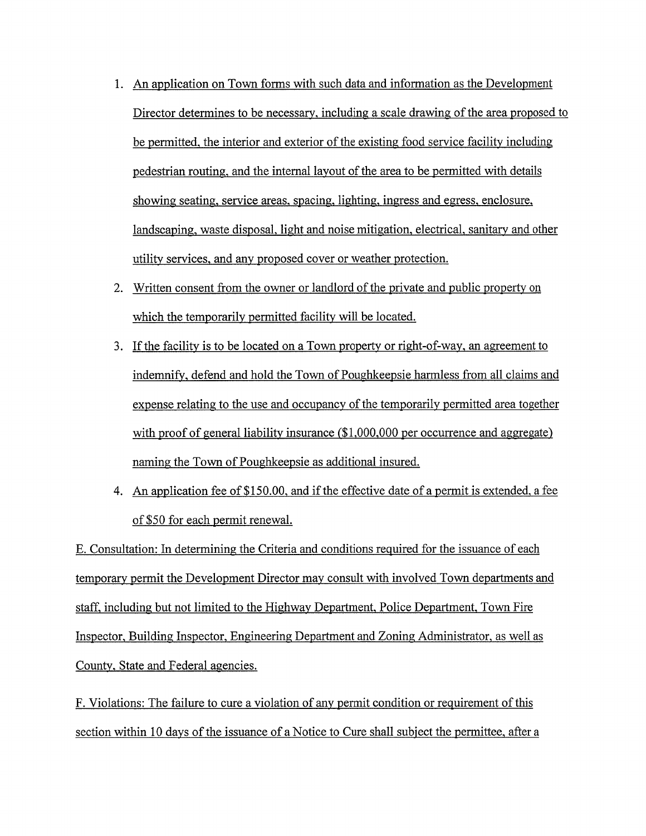- 1. An application on Town forms with such data and information as the Development Director determines to be necessary, including a scale drawing of the area proposed to be permitted, the interior and exterior of the existing food service facility including pedestrian routing, and the internal layout of the area to be permitted with details showing seating, service areas, spacing, lighting, ingress and egress, enclosure, landscaping, waste disposal, light and noise mitigation, electrical, sanitary and other utility services, and any proposed cover or weather protection.
- 2. Written consent from the owner or landlord of the private and public property on which the temporarily permitted facility will be located.
- 3. If the facility is to be located on a Town property or right-of-way, an agreement to indemnify, defend and hold the Town of Poughkeepsie harmless from all claims and expense relating to the use and occupancy of the temporarily permitted area together with proof of general liability insurance (\$1,000,000 per occurrence and aggregate) naming the Town of Poughkeepsie as additional insured.
- 4. An application fee of \$150.00, and if the effective date of a permit is extended, a fee of \$50 for each permit renewal.

E. Consultation: In determining the Criteria and conditions required for the issuance of each temporary permit the Development Director may consult with involved Town departments and staff, including but not limited to the Highway Department, Police Department, Town Fire Inspector, Building Inspector, Engineering Department and Zoning Administrator, as well as County, State and Federal agencies.

F. Violations: The failure to cure a violation of any permit condition or requirement of this section within 10 days of the issuance of a Notice to Cure shall subject the permittee, after a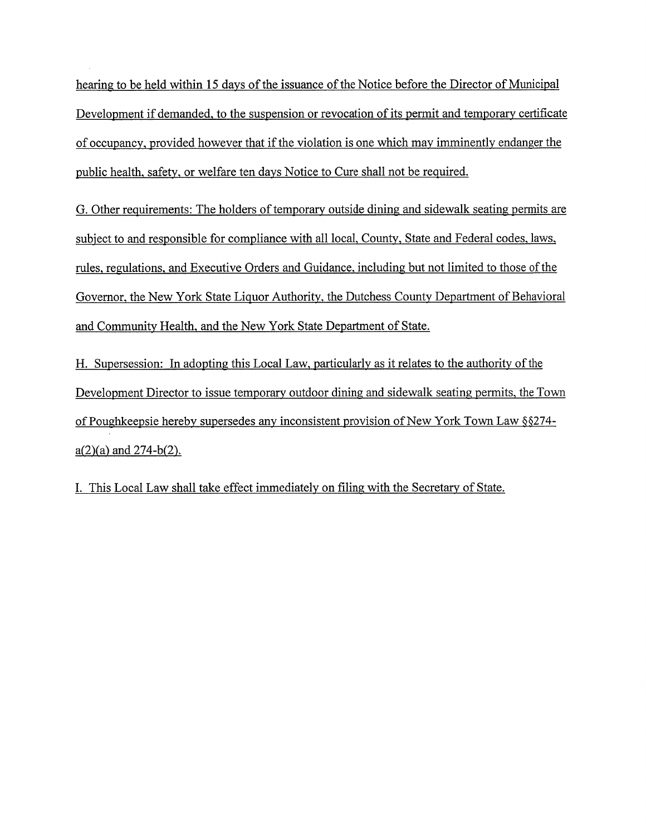hearing to be held within 15 days of the issuance of the Notice before the Director of Municipal Development if demanded, to the suspension or revocation of its permit and temporary certificate of occupancy, provided however that if the violation is one which may imminently endanger the public health, safety, or welfare ten days Notice to Cure shall not be required.

G. Other requirements: The holders of temporary outside dining and sidewalk seating permits are subject to and responsible for compliance with all local, County, State and Federal codes, laws, rules, regulations, and Executive Orders and Guidance, including but not limited to those of the Governor, the New York State Liquor Authority, the Dutchess County Department of Behavioral and Community Health, and the New York State Department of State.

H. Supersession: In adopting this Local Law, particularly as it relates to the authority of the Development Director to issue temporary outdoor dining and sidewalk seating permits, the Town of Poughkeepsie hereby supersedes any inconsistent provision of New York Town Law §§274 $a(2)(a)$  and 274-b(2).

I. This Local Law shall take effect immediately on filing with the Secretary of State.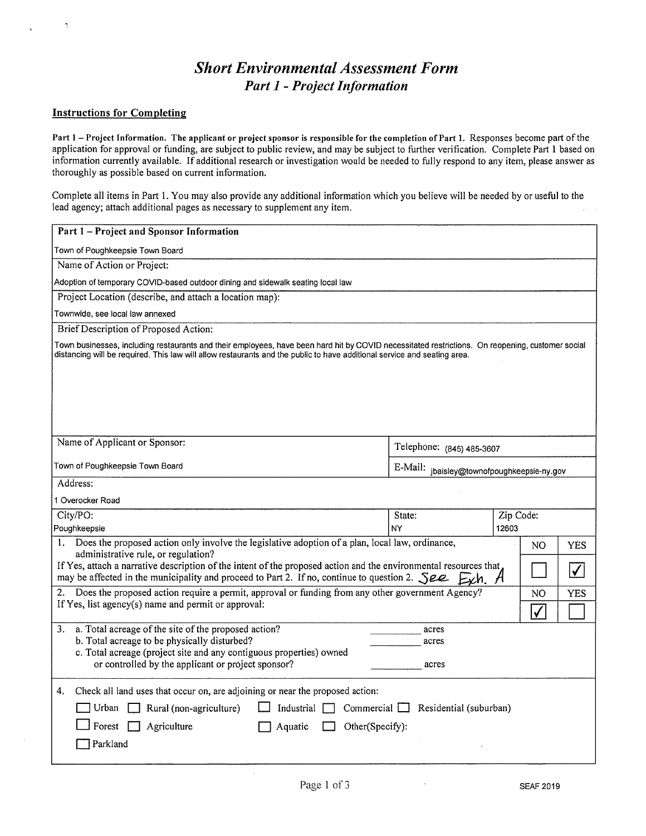# **Short Environmental Assessment Form Part 1 - Project Information**

## **Instructions for Completing**

Part 1 - Project Information. The applicant or project sponsor is responsible for the completion of Part 1. Responses become part of the application for approval or funding, are subject to public review, and may be subject to further verification. Complete Part 1 based on information currently available. If additional research or investigation would be needed to fully respond to any item, please answer as thoroughly as possible based on current information.

Complete all items in Part 1. You may also provide any additional information which you believe will be needed by or useful to the lead agency; attach additional pages as necessary to supplement any item.

| Part 1 - Project and Sponsor Information                                                                                                                                                                                                                                                                                                                                                                                                                                                                                                           |                                            |                        |
|----------------------------------------------------------------------------------------------------------------------------------------------------------------------------------------------------------------------------------------------------------------------------------------------------------------------------------------------------------------------------------------------------------------------------------------------------------------------------------------------------------------------------------------------------|--------------------------------------------|------------------------|
| Town of Poughkeepsie Town Board                                                                                                                                                                                                                                                                                                                                                                                                                                                                                                                    |                                            |                        |
| Name of Action or Project:                                                                                                                                                                                                                                                                                                                                                                                                                                                                                                                         |                                            |                        |
| Adoption of temporary COVID-based outdoor dining and sidewalk seating local law                                                                                                                                                                                                                                                                                                                                                                                                                                                                    |                                            |                        |
| Project Location (describe, and attach a location map):                                                                                                                                                                                                                                                                                                                                                                                                                                                                                            |                                            |                        |
| Townwide, see local law annexed                                                                                                                                                                                                                                                                                                                                                                                                                                                                                                                    |                                            |                        |
| Brief Description of Proposed Action:                                                                                                                                                                                                                                                                                                                                                                                                                                                                                                              |                                            |                        |
| Town businesses, including restaurants and their employees, have been hard hit by COVID necessitated restrictions. On reopening, customer social<br>distancing will be required. This law will allow restaurants and the public to have additional service and seating area.                                                                                                                                                                                                                                                                       |                                            |                        |
| Name of Applicant or Sponsor:                                                                                                                                                                                                                                                                                                                                                                                                                                                                                                                      | Telephone: (845) 485-3607                  |                        |
| Town of Poughkeepsie Town Board                                                                                                                                                                                                                                                                                                                                                                                                                                                                                                                    | E-Mail: jbaisley@townofpoughkeepsie-ny.gov |                        |
| Address:                                                                                                                                                                                                                                                                                                                                                                                                                                                                                                                                           |                                            |                        |
| 1 Overocker Road                                                                                                                                                                                                                                                                                                                                                                                                                                                                                                                                   |                                            |                        |
| City/PO:                                                                                                                                                                                                                                                                                                                                                                                                                                                                                                                                           | State:                                     | Zip Code:              |
| Poughkeepsie                                                                                                                                                                                                                                                                                                                                                                                                                                                                                                                                       | NY                                         | 12603                  |
| 1. Does the proposed action only involve the legislative adoption of a plan, local law, ordinance,<br>administrative rule, or regulation?<br>If Yes, attach a narrative description of the intent of the proposed action and the environmental resources that<br>may be affected in the municipality and proceed to Part 2. If no, continue to question 2. $\mathcal{S}ee$ Exh. A<br>Does the proposed action require a permit, approval or funding from any other government Agency?<br>2.<br>If Yes, list agency(s) name and permit or approval: |                                            | NO<br>YES<br>NO<br>YES |
| a. Total acreage of the site of the proposed action?<br>3.<br>b. Total acreage to be physically disturbed?<br>c. Total acreage (project site and any contiguous properties) owned<br>or controlled by the applicant or project sponsor?                                                                                                                                                                                                                                                                                                            | acres<br>acres<br>acres                    |                        |
| Check all land uses that occur on, are adjoining or near the proposed action:<br>4.<br>Rural (non-agriculture)<br>Industrial<br>Urban<br>Commercial l<br>Forest<br>Agriculture<br>Other(Specify):<br>Aquatic<br>Parkland                                                                                                                                                                                                                                                                                                                           | Residential (suburban)                     |                        |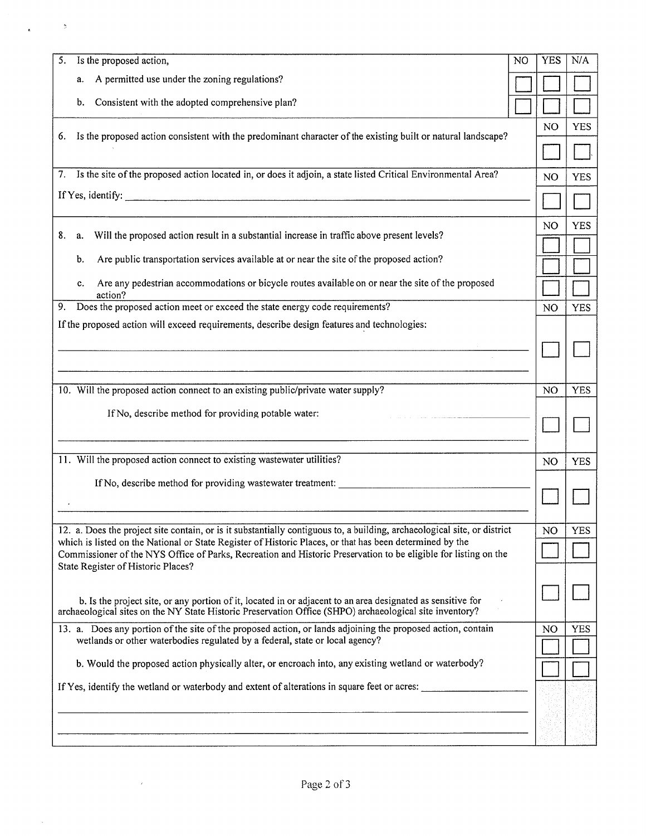| Is the proposed action,<br>5.                                                                                                                                                                                          | N <sub>O</sub> | <b>YES</b>     | N/A        |
|------------------------------------------------------------------------------------------------------------------------------------------------------------------------------------------------------------------------|----------------|----------------|------------|
| A permitted use under the zoning regulations?<br>a.                                                                                                                                                                    |                |                |            |
| Consistent with the adopted comprehensive plan?<br>b.                                                                                                                                                                  |                |                |            |
|                                                                                                                                                                                                                        |                | N <sub>O</sub> | <b>YES</b> |
| Is the proposed action consistent with the predominant character of the existing built or natural landscape?<br>6.                                                                                                     |                |                |            |
| 7. Is the site of the proposed action located in, or does it adjoin, a state listed Critical Environmental Area?                                                                                                       |                | N <sub>O</sub> | <b>YES</b> |
| If Yes, identify: $\qquad \qquad \qquad$                                                                                                                                                                               |                |                |            |
|                                                                                                                                                                                                                        |                | NO             | <b>YES</b> |
| Will the proposed action result in a substantial increase in traffic above present levels?<br>8.<br>a.                                                                                                                 |                |                |            |
| Are public transportation services available at or near the site of the proposed action?<br>b.                                                                                                                         |                |                |            |
| Are any pedestrian accommodations or bicycle routes available on or near the site of the proposed<br>c.<br>action?                                                                                                     |                |                |            |
| Does the proposed action meet or exceed the state energy code requirements?<br>9.                                                                                                                                      |                | N <sub>O</sub> | <b>YES</b> |
| If the proposed action will exceed requirements, describe design features and technologies:                                                                                                                            |                |                |            |
|                                                                                                                                                                                                                        |                |                |            |
|                                                                                                                                                                                                                        |                |                |            |
| 10. Will the proposed action connect to an existing public/private water supply?                                                                                                                                       |                | NO             | <b>YES</b> |
| If No, describe method for providing potable water: ____________________________                                                                                                                                       |                |                |            |
|                                                                                                                                                                                                                        |                |                |            |
| 11. Will the proposed action connect to existing wastewater utilities?                                                                                                                                                 |                | NO             | <b>YES</b> |
| If No, describe method for providing wastewater treatment:                                                                                                                                                             |                |                |            |
|                                                                                                                                                                                                                        |                |                |            |
| 12. a. Does the project site contain, or is it substantially contiguous to, a building, archaeological site, or district                                                                                               |                | NO             | <b>YES</b> |
| which is listed on the National or State Register of Historic Places, or that has been determined by the                                                                                                               |                |                |            |
| Commissioner of the NYS Office of Parks, Recreation and Historic Preservation to be eligible for listing on the<br>State Register of Historic Places?                                                                  |                |                |            |
|                                                                                                                                                                                                                        |                |                |            |
| b. Is the project site, or any portion of it, located in or adjacent to an area designated as sensitive for<br>archaeological sites on the NY State Historic Preservation Office (SHPO) archaeological site inventory? |                |                |            |
| 13. a. Does any portion of the site of the proposed action, or lands adjoining the proposed action, contain<br>wetlands or other waterbodies regulated by a federal, state or local agency?                            |                | N <sub>O</sub> | <b>YES</b> |
| b. Would the proposed action physically alter, or encroach into, any existing wetland or waterbody?                                                                                                                    |                |                |            |
| If Yes, identify the wetland or waterbody and extent of alterations in square feet or acres:                                                                                                                           |                |                |            |
|                                                                                                                                                                                                                        |                |                |            |
|                                                                                                                                                                                                                        |                |                |            |
|                                                                                                                                                                                                                        |                |                |            |

 $\sim 10^{-10}$ 

 $\bar{b}$ 

 $\sim$   $\lambda$  .

 $\sim$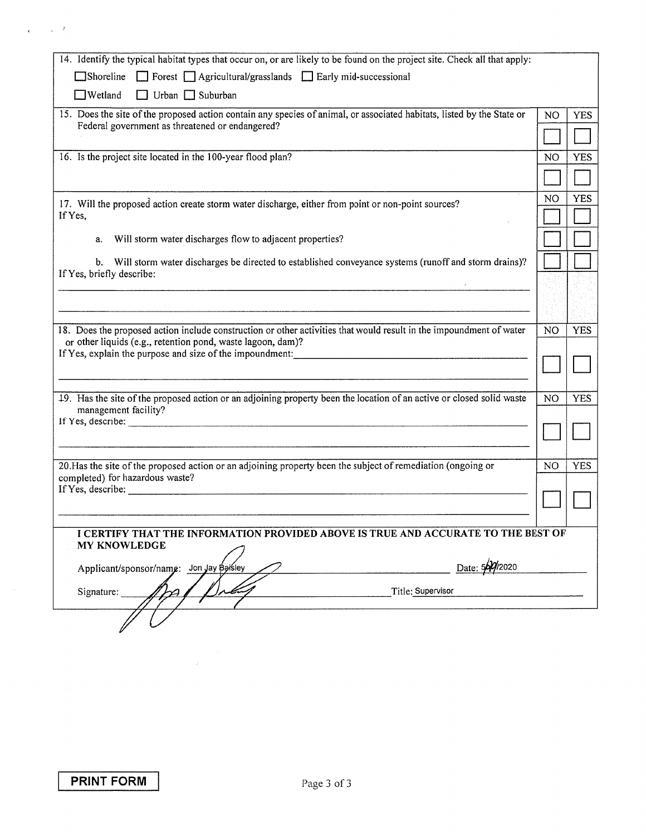| 14. Identify the typical habitat types that occur on, or are likely to be found on the project site. Check all that apply:                                                         |                |            |
|------------------------------------------------------------------------------------------------------------------------------------------------------------------------------------|----------------|------------|
| Shoreline Forest Agricultural/grasslands Farly mid-successional                                                                                                                    |                |            |
| $\Box$ Wetland<br>Urban $\Box$ Suburban                                                                                                                                            |                |            |
| 15. Does the site of the proposed action contain any species of animal, or associated habitats, listed by the State or                                                             | NO             | <b>YES</b> |
| Federal government as threatened or endangered?                                                                                                                                    |                |            |
| 16. Is the project site located in the 100-year flood plan?                                                                                                                        | N <sub>O</sub> | <b>YES</b> |
|                                                                                                                                                                                    |                |            |
|                                                                                                                                                                                    |                |            |
| 17. Will the proposed action create storm water discharge, either from point or non-point sources?                                                                                 | NO             | <b>YES</b> |
| If Yes,                                                                                                                                                                            |                |            |
| Will storm water discharges flow to adjacent properties?<br>a.                                                                                                                     |                |            |
| b. Will storm water discharges be directed to established conveyance systems (runoff and storm drains)?                                                                            |                |            |
| If Yes, briefly describe:                                                                                                                                                          |                |            |
|                                                                                                                                                                                    |                |            |
|                                                                                                                                                                                    |                |            |
| 18. Does the proposed action include construction or other activities that would result in the impoundment of water<br>or other liquids (e.g., retention pond, waste lagoon, dam)? | N <sub>O</sub> | <b>YES</b> |
| If Yes, explain the purpose and size of the impoundment: 1999 and the state of the impoundment:                                                                                    |                |            |
|                                                                                                                                                                                    |                |            |
|                                                                                                                                                                                    |                |            |
| 19. Has the site of the proposed action or an adjoining property been the location of an active or closed solid waste<br>management facility?                                      | N <sub>O</sub> | <b>YES</b> |
|                                                                                                                                                                                    |                |            |
|                                                                                                                                                                                    |                |            |
| 20. Has the site of the proposed action or an adjoining property been the subject of remediation (ongoing or                                                                       | N <sub>O</sub> | <b>YES</b> |
| completed) for hazardous waste?                                                                                                                                                    |                |            |
| If Yes, describe:                                                                                                                                                                  |                |            |
|                                                                                                                                                                                    |                |            |
| I CERTIFY THAT THE INFORMATION PROVIDED ABOVE IS TRUE AND ACCURATE TO THE BEST OF                                                                                                  |                |            |
| <b>MY KNOWLEDGE</b>                                                                                                                                                                |                |            |
| Date: 569/2020<br>Applicant/sponsor/name: Jon Jay Baisley                                                                                                                          |                |            |
| Title: Supervisor                                                                                                                                                                  |                |            |
| Signature:                                                                                                                                                                         |                |            |
|                                                                                                                                                                                    |                |            |
|                                                                                                                                                                                    |                |            |
|                                                                                                                                                                                    |                |            |
|                                                                                                                                                                                    |                |            |

 $\chi_{\rm{max}} = \sqrt{2}$